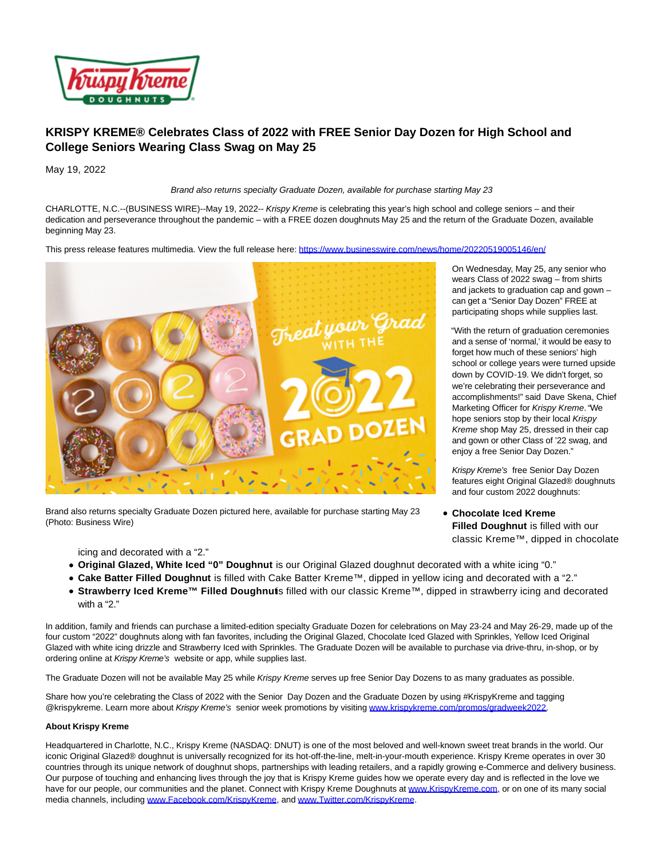

## **KRISPY KREME® Celebrates Class of 2022 with FREE Senior Day Dozen for High School and College Seniors Wearing Class Swag on May 25**

May 19, 2022

Brand also returns specialty Graduate Dozen, available for purchase starting May 23

CHARLOTTE, N.C.--(BUSINESS WIRE)--May 19, 2022-- Krispy Kreme is celebrating this year's high school and college seniors – and their dedication and perseverance throughout the pandemic – with a FREE dozen doughnuts May 25 and the return of the Graduate Dozen, available beginning May 23.

This press release features multimedia. View the full release here:<https://www.businesswire.com/news/home/20220519005146/en/>



Brand also returns specialty Graduate Dozen pictured here, available for purchase starting May 23 (Photo: Business Wire)

On Wednesday, May 25, any senior who wears Class of 2022 swag – from shirts and jackets to graduation cap and gown – can get a "Senior Day Dozen" FREE at participating shops while supplies last.

"With the return of graduation ceremonies and a sense of 'normal,' it would be easy to forget how much of these seniors' high school or college years were turned upside down by COVID‑19. We didn't forget, so we're celebrating their perseverance and accomplishments!" said Dave Skena, Chief Marketing Officer for Krispy Kreme. "We hope seniors stop by their local Krispy Kreme shop May 25, dressed in their cap and gown or other Class of '22 swag, and enjoy a free Senior Day Dozen."

Krispy Kreme's free Senior Day Dozen features eight Original Glazed® doughnuts and four custom 2022 doughnuts:

**Chocolate Iced Kreme Filled Doughnut** is filled with our classic Kreme™, dipped in chocolate

icing and decorated with a "2."

- **Original Glazed, White Iced "0" Doughnut** is our Original Glazed doughnut decorated with a white icing "0."
- **Cake Batter Filled Doughnut** is filled with Cake Batter Kreme™, dipped in yellow icing and decorated with a "2."
- Strawberry Iced Kreme™ Filled Doughnuts filled with our classic Kreme™, dipped in strawberry icing and decorated with a "2."

In addition, family and friends can purchase a limited-edition specialty Graduate Dozen for celebrations on May 23-24 and May 26-29, made up of the four custom "2022" doughnuts along with fan favorites, including the Original Glazed, Chocolate Iced Glazed with Sprinkles, Yellow Iced Original Glazed with white icing drizzle and Strawberry Iced with Sprinkles. The Graduate Dozen will be available to purchase via drive-thru, in-shop, or by ordering online at Krispy Kreme's website or app, while supplies last.

The Graduate Dozen will not be available May 25 while Krispy Kreme serves up free Senior Day Dozens to as many graduates as possible.

Share how you're celebrating the Class of 2022 with the Senior Day Dozen and the Graduate Dozen by using #KrispyKreme and tagging @krispykreme. Learn more about Krispy Kreme's senior week promotions by visiting [www.krispykreme.com/promos/gradweek2022.](https://cts.businesswire.com/ct/CT?id=smartlink&url=http%3A%2F%2Fwww.krispykreme.com%2Fpromos%2Fgradweek2022&esheet=52723847&newsitemid=20220519005146&lan=en-US&anchor=www.krispykreme.com%2Fpromos%2Fgradweek2022&index=1&md5=d3c4e49f113dec3507f1c8706038df8d)

## **About Krispy Kreme**

Headquartered in Charlotte, N.C., Krispy Kreme (NASDAQ: DNUT) is one of the most beloved and well-known sweet treat brands in the world. Our iconic Original Glazed® doughnut is universally recognized for its hot-off-the-line, melt-in-your-mouth experience. Krispy Kreme operates in over 30 countries through its unique network of doughnut shops, partnerships with leading retailers, and a rapidly growing e-Commerce and delivery business. Our purpose of touching and enhancing lives through the joy that is Krispy Kreme guides how we operate every day and is reflected in the love we have for our people, our communities and the planet. Connect with Krispy Kreme Doughnuts at [www.KrispyKreme.com,](https://cts.businesswire.com/ct/CT?id=smartlink&url=http%3A%2F%2Fwww.krispykreme.com%2F&esheet=52723847&newsitemid=20220519005146&lan=en-US&anchor=www.KrispyKreme.com&index=2&md5=ebb686b4fab742897a891fcfd8d1c8fa) or on one of its many social media channels, including [www.Facebook.com/KrispyKreme,](https://cts.businesswire.com/ct/CT?id=smartlink&url=https%3A%2F%2Fwww.facebook.com%2FKrispyKreme&esheet=52723847&newsitemid=20220519005146&lan=en-US&anchor=www.Facebook.com%2FKrispyKreme&index=3&md5=196eb4c615def20dc9a0dc6a5adc9f51) and [www.Twitter.com/KrispyKreme.](https://cts.businesswire.com/ct/CT?id=smartlink&url=https%3A%2F%2Ftwitter.com%2FKrispyKreme&esheet=52723847&newsitemid=20220519005146&lan=en-US&anchor=www.Twitter.com%2FKrispyKreme&index=4&md5=cb638a471f3c312477fee9e351d39ce4)